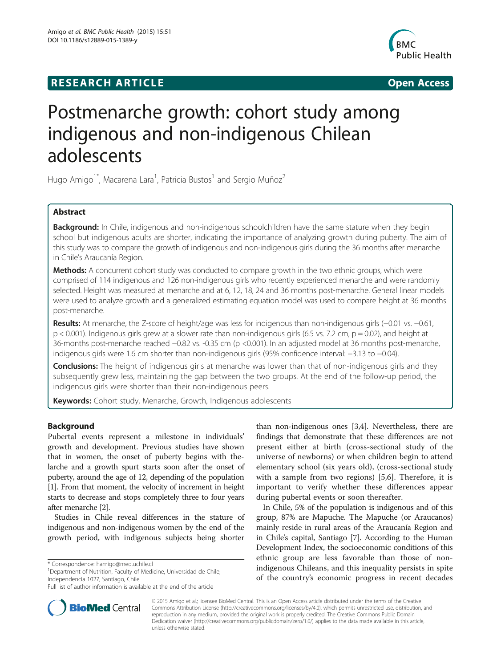## **RESEARCH ARTICLE Example 2014 CONSIDERING A RESEARCH ARTICLE**



# Postmenarche growth: cohort study among indigenous and non-indigenous Chilean adolescents

Hugo Amigo<sup>1\*</sup>, Macarena Lara<sup>1</sup>, Patricia Bustos<sup>1</sup> and Sergio Muñoz<sup>2</sup>

## Abstract

Background: In Chile, indigenous and non-indigenous schoolchildren have the same stature when they begin school but indigenous adults are shorter, indicating the importance of analyzing growth during puberty. The aim of this study was to compare the growth of indigenous and non-indigenous girls during the 36 months after menarche in Chile's Araucanía Region.

Methods: A concurrent cohort study was conducted to compare growth in the two ethnic groups, which were comprised of 114 indigenous and 126 non-indigenous girls who recently experienced menarche and were randomly selected. Height was measured at menarche and at 6, 12, 18, 24 and 36 months post-menarche. General linear models were used to analyze growth and a generalized estimating equation model was used to compare height at 36 months post-menarche.

Results: At menarche, the Z-score of height/age was less for indigenous than non-indigenous girls (−0.01 vs. −0.61,  $p < 0.001$ ). Indigenous girls grew at a slower rate than non-indigenous girls (6.5 vs. 7.2 cm,  $p = 0.02$ ), and height at 36-months post-menarche reached −0.82 vs. -0.35 cm (p <0.001). In an adjusted model at 36 months post-menarche, indigenous girls were 1.6 cm shorter than non-indigenous girls (95% confidence interval: −3.13 to −0.04).

**Conclusions:** The height of indigenous girls at menarche was lower than that of non-indigenous girls and they subsequently grew less, maintaining the gap between the two groups. At the end of the follow-up period, the indigenous girls were shorter than their non-indigenous peers.

Keywords: Cohort study, Menarche, Growth, Indigenous adolescents

## Background

Pubertal events represent a milestone in individuals' growth and development. Previous studies have shown that in women, the onset of puberty begins with thelarche and a growth spurt starts soon after the onset of puberty, around the age of 12, depending of the population [[1](#page-5-0)]. From that moment, the velocity of increment in height starts to decrease and stops completely three to four years after menarche [\[2\]](#page-5-0).

Studies in Chile reveal differences in the stature of indigenous and non-indigenous women by the end of the growth period, with indigenous subjects being shorter

<sup>1</sup>Department of Nutrition, Faculty of Medicine, Universidad de Chile, Independencia 1027, Santiago, Chile

than non-indigenous ones [\[3,4](#page-5-0)]. Nevertheless, there are findings that demonstrate that these differences are not present either at birth (cross-sectional study of the universe of newborns) or when children begin to attend elementary school (six years old), (cross-sectional study with a sample from two regions) [[5,6](#page-6-0)]. Therefore, it is important to verify whether these differences appear during pubertal events or soon thereafter.

In Chile, 5% of the population is indigenous and of this group, 87% are Mapuche. The Mapuche (or Araucanos) mainly reside in rural areas of the Araucanía Region and in Chile's capital, Santiago [[7\]](#page-6-0). According to the Human Development Index, the socioeconomic conditions of this ethnic group are less favorable than those of nonindigenous Chileans, and this inequality persists in spite of the country's economic progress in recent decades



© 2015 Amigo et al.; licensee BioMed Central. This is an Open Access article distributed under the terms of the Creative Commons Attribution License [\(http://creativecommons.org/licenses/by/4.0\)](http://creativecommons.org/licenses/by/4.0), which permits unrestricted use, distribution, and reproduction in any medium, provided the original work is properly credited. The Creative Commons Public Domain Dedication waiver [\(http://creativecommons.org/publicdomain/zero/1.0/](http://creativecommons.org/publicdomain/zero/1.0/)) applies to the data made available in this article, unless otherwise stated.

<sup>\*</sup> Correspondence: [hamigo@med.uchile.cl](mailto:hamigo@med.uchile.cl) <sup>1</sup>

Full list of author information is available at the end of the article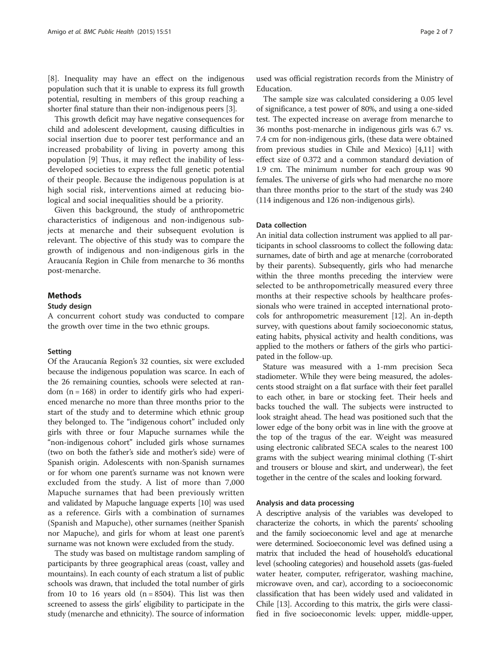[[8\]](#page-6-0). Inequality may have an effect on the indigenous population such that it is unable to express its full growth potential, resulting in members of this group reaching a shorter final stature than their non-indigenous peers [[3\]](#page-5-0).

This growth deficit may have negative consequences for child and adolescent development, causing difficulties in social insertion due to poorer test performance and an increased probability of living in poverty among this population [\[9](#page-6-0)] Thus, it may reflect the inability of lessdeveloped societies to express the full genetic potential of their people. Because the indigenous population is at high social risk, interventions aimed at reducing biological and social inequalities should be a priority.

Given this background, the study of anthropometric characteristics of indigenous and non-indigenous subjects at menarche and their subsequent evolution is relevant. The objective of this study was to compare the growth of indigenous and non-indigenous girls in the Araucanía Region in Chile from menarche to 36 months post-menarche.

#### Methods

#### Study design

A concurrent cohort study was conducted to compare the growth over time in the two ethnic groups.

#### Setting

Of the Araucanía Region's 32 counties, six were excluded because the indigenous population was scarce. In each of the 26 remaining counties, schools were selected at random  $(n = 168)$  in order to identify girls who had experienced menarche no more than three months prior to the start of the study and to determine which ethnic group they belonged to. The "indigenous cohort" included only girls with three or four Mapuche surnames while the "non-indigenous cohort" included girls whose surnames (two on both the father's side and mother's side) were of Spanish origin. Adolescents with non-Spanish surnames or for whom one parent's surname was not known were excluded from the study. A list of more than 7,000 Mapuche surnames that had been previously written and validated by Mapuche language experts [[10](#page-6-0)] was used as a reference. Girls with a combination of surnames (Spanish and Mapuche), other surnames (neither Spanish nor Mapuche), and girls for whom at least one parent's surname was not known were excluded from the study.

The study was based on multistage random sampling of participants by three geographical areas (coast, valley and mountains). In each county of each stratum a list of public schools was drawn, that included the total number of girls from 10 to 16 years old  $(n = 8504)$ . This list was then screened to assess the girls' eligibility to participate in the study (menarche and ethnicity). The source of information

used was official registration records from the Ministry of Education.

The sample size was calculated considering a 0.05 level of significance, a test power of 80%, and using a one-sided test. The expected increase on average from menarche to 36 months post-menarche in indigenous girls was 6.7 vs. 7.4 cm for non-indigenous girls, (these data were obtained from previous studies in Chile and Mexico) [[4,](#page-5-0)[11](#page-6-0)] with effect size of 0.372 and a common standard deviation of 1.9 cm. The minimum number for each group was 90 females. The universe of girls who had menarche no more than three months prior to the start of the study was 240 (114 indigenous and 126 non-indigenous girls).

## Data collection

An initial data collection instrument was applied to all participants in school classrooms to collect the following data: surnames, date of birth and age at menarche (corroborated by their parents). Subsequently, girls who had menarche within the three months preceding the interview were selected to be anthropometrically measured every three months at their respective schools by healthcare professionals who were trained in accepted international protocols for anthropometric measurement [[12](#page-6-0)]. An in-depth survey, with questions about family socioeconomic status, eating habits, physical activity and health conditions, was applied to the mothers or fathers of the girls who participated in the follow-up.

Stature was measured with a 1-mm precision Seca stadiometer. While they were being measured, the adolescents stood straight on a flat surface with their feet parallel to each other, in bare or stocking feet. Their heels and backs touched the wall. The subjects were instructed to look straight ahead. The head was positioned such that the lower edge of the bony orbit was in line with the groove at the top of the tragus of the ear. Weight was measured using electronic calibrated SECA scales to the nearest 100 grams with the subject wearing minimal clothing (T-shirt and trousers or blouse and skirt, and underwear), the feet together in the centre of the scales and looking forward.

#### Analysis and data processing

A descriptive analysis of the variables was developed to characterize the cohorts, in which the parents' schooling and the family socioeconomic level and age at menarche were determined. Socioeconomic level was defined using a matrix that included the head of household's educational level (schooling categories) and household assets (gas-fueled water heater, computer, refrigerator, washing machine, microwave oven, and car), according to a socioeconomic classification that has been widely used and validated in Chile [\[13\]](#page-6-0). According to this matrix, the girls were classified in five socioeconomic levels: upper, middle-upper,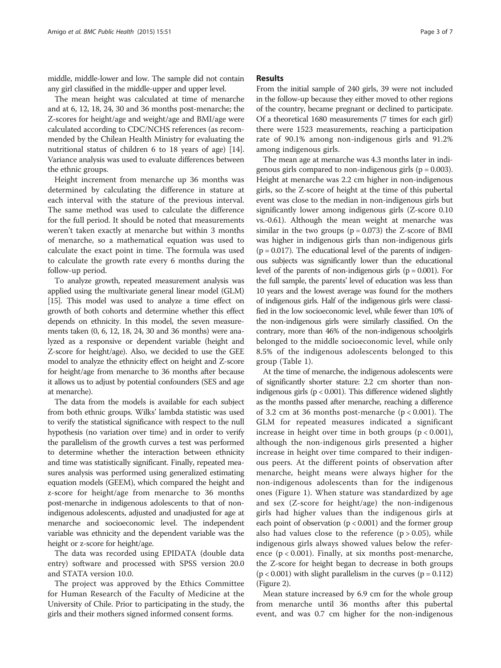middle, middle-lower and low. The sample did not contain any girl classified in the middle-upper and upper level.

The mean height was calculated at time of menarche and at 6, 12, 18, 24, 30 and 36 months post-menarche; the Z-scores for height/age and weight/age and BMI/age were calculated according to CDC/NCHS references (as recommended by the Chilean Health Ministry for evaluating the nutritional status of children 6 to 18 years of age) [[14](#page-6-0)]. Variance analysis was used to evaluate differences between the ethnic groups.

Height increment from menarche up 36 months was determined by calculating the difference in stature at each interval with the stature of the previous interval. The same method was used to calculate the difference for the full period. It should be noted that measurements weren't taken exactly at menarche but within 3 months of menarche, so a mathematical equation was used to calculate the exact point in time. The formula was used to calculate the growth rate every 6 months during the follow-up period.

To analyze growth, repeated measurement analysis was applied using the multivariate general linear model (GLM) [[15](#page-6-0)]. This model was used to analyze a time effect on growth of both cohorts and determine whether this effect depends on ethnicity. In this model, the seven measurements taken (0, 6, 12, 18, 24, 30 and 36 months) were analyzed as a responsive or dependent variable (height and Z-score for height/age). Also, we decided to use the GEE model to analyze the ethnicity effect on height and Z-score for height/age from menarche to 36 months after because it allows us to adjust by potential confounders (SES and age at menarche).

The data from the models is available for each subject from both ethnic groups. Wilks' lambda statistic was used to verify the statistical significance with respect to the null hypothesis (no variation over time) and in order to verify the parallelism of the growth curves a test was performed to determine whether the interaction between ethnicity and time was statistically significant. Finally, repeated measures analysis was performed using generalized estimating equation models (GEEM), which compared the height and z-score for height/age from menarche to 36 months post-menarche in indigenous adolescents to that of nonindigenous adolescents, adjusted and unadjusted for age at menarche and socioeconomic level. The independent variable was ethnicity and the dependent variable was the height or z-score for height/age.

The data was recorded using EPIDATA (double data entry) software and processed with SPSS version 20.0 and STATA version 10.0.

The project was approved by the Ethics Committee for Human Research of the Faculty of Medicine at the University of Chile. Prior to participating in the study, the girls and their mothers signed informed consent forms.

#### Results

From the initial sample of 240 girls, 39 were not included in the follow-up because they either moved to other regions of the country, became pregnant or declined to participate. Of a theoretical 1680 measurements (7 times for each girl) there were 1523 measurements, reaching a participation rate of 90.1% among non-indigenous girls and 91.2% among indigenous girls.

The mean age at menarche was 4.3 months later in indigenous girls compared to non-indigenous girls ( $p = 0.003$ ). Height at menarche was 2.2 cm higher in non-indigenous girls, so the Z-score of height at the time of this pubertal event was close to the median in non-indigenous girls but significantly lower among indigenous girls (Z-score 0.10 vs.-0.61). Although the mean weight at menarche was similar in the two groups  $(p = 0.073)$  the Z-score of BMI was higher in indigenous girls than non-indigenous girls  $(p = 0.017)$ . The educational level of the parents of indigenous subjects was significantly lower than the educational level of the parents of non-indigenous girls ( $p = 0.001$ ). For the full sample, the parents' level of education was less than 10 years and the lowest average was found for the mothers of indigenous girls. Half of the indigenous girls were classified in the low socioeconomic level, while fewer than 10% of the non-indigenous girls were similarly classified. On the contrary, more than 46% of the non-indigenous schoolgirls belonged to the middle socioeconomic level, while only 8.5% of the indigenous adolescents belonged to this group (Table [1\)](#page-3-0).

At the time of menarche, the indigenous adolescents were of significantly shorter stature: 2.2 cm shorter than nonindigenous girls  $(p < 0.001)$ . This difference widened slightly as the months passed after menarche, reaching a difference of 3.2 cm at 36 months post-menarche ( $p < 0.001$ ). The GLM for repeated measures indicated a significant increase in height over time in both groups  $(p < 0.001)$ , although the non-indigenous girls presented a higher increase in height over time compared to their indigenous peers. At the different points of observation after menarche, height means were always higher for the non-indigenous adolescents than for the indigenous ones (Figure [1\)](#page-3-0). When stature was standardized by age and sex (Z-score for height/age) the non-indigenous girls had higher values than the indigenous girls at each point of observation (p < 0.001) and the former group also had values close to the reference  $(p > 0.05)$ , while indigenous girls always showed values below the reference (p < 0.001). Finally, at six months post-menarche, the Z-score for height began to decrease in both groups  $(p < 0.001)$  with slight parallelism in the curves  $(p = 0.112)$ (Figure [2](#page-3-0)).

Mean stature increased by 6.9 cm for the whole group from menarche until 36 months after this pubertal event, and was 0.7 cm higher for the non-indigenous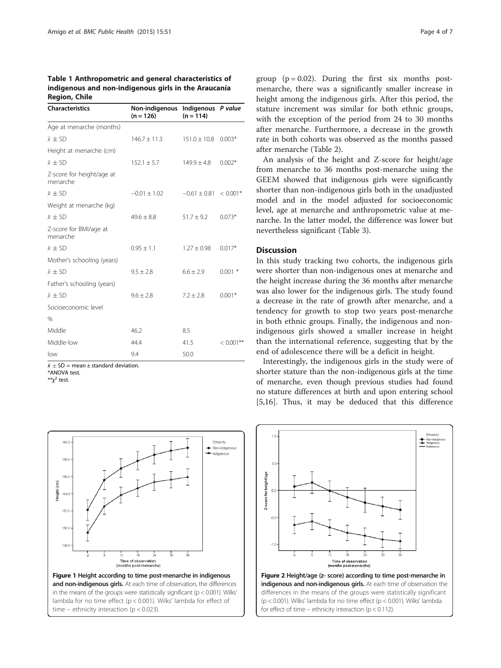<span id="page-3-0"></span>Table 1 Anthropometric and general characteristics of indigenous and non-indigenous girls in the Araucanía Region, Chile

| <b>Characteristics</b>                | Non-indigenous<br>$(n = 126)$ | Indigenous P value<br>$(n = 114)$ |              |
|---------------------------------------|-------------------------------|-----------------------------------|--------------|
| Age at menarche (months)              |                               |                                   |              |
| $\bar{x} \pm SD$                      | $146.7 \pm 11.3$              | $151.0 \pm 10.8$                  | $0.003*$     |
| Height at menarche (cm)               |                               |                                   |              |
| $\bar{x}$ + SD                        | $152.1 \pm 5.7$               | $149.9 \pm 4.8$                   | $0.002*$     |
| Z-score for height/age at<br>menarche |                               |                                   |              |
| $\bar{x}$ + SD                        | $-0.01 \pm 1.02$              | $-0.61 \pm 0.81 < 0.001*$         |              |
| Weight at menarche (kg)               |                               |                                   |              |
| $\bar{x}$ + SD                        | $49.6 + 8.8$                  | $51.7 \pm 9.2$                    | $0.073*$     |
| Z-score for BMI/age at<br>menarche    |                               |                                   |              |
| $\bar{x} \pm SD$                      | $0.95 \pm 1.1$                | $1.27 \pm 0.98$                   | $0.017*$     |
| Mother's schooling (years)            |                               |                                   |              |
| $\bar{x}$ + SD                        | $9.5 \pm 2.8$                 | $6.6 \pm 2.9$                     | $0.001$ *    |
| Father's schooling (years)            |                               |                                   |              |
| $\bar{x} \pm SD$                      | $9.6 \pm 2.8$                 | $7.2 \pm 2.8$                     | $0.001*$     |
| Socioeconomic level                   |                               |                                   |              |
| $\%$                                  |                               |                                   |              |
| Middle                                | 46.2                          | 8.5                               |              |
| Middle-low                            | 44.4                          | 41.5                              | $< 0.001$ ** |
| low                                   | 9.4                           | 50.0                              |              |

 $\bar{x} \pm SD$  = mean  $\pm$  standard deviation.

\*ANOVA test.

 $**x^2$  test.



group  $(p = 0.02)$ . During the first six months postmenarche, there was a significantly smaller increase in height among the indigenous girls. After this period, the stature increment was similar for both ethnic groups, with the exception of the period from 24 to 30 months after menarche. Furthermore, a decrease in the growth rate in both cohorts was observed as the months passed after menarche (Table [2\)](#page-4-0).

An analysis of the height and Z-score for height/age from menarche to 36 months post-menarche using the GEEM showed that indigenous girls were significantly shorter than non-indigenous girls both in the unadjusted model and in the model adjusted for socioeconomic level, age at menarche and anthropometric value at menarche. In the latter model, the difference was lower but nevertheless significant (Table [3\)](#page-4-0).

## **Discussion**

In this study tracking two cohorts, the indigenous girls were shorter than non-indigenous ones at menarche and the height increase during the 36 months after menarche was also lower for the indigenous girls. The study found a decrease in the rate of growth after menarche, and a tendency for growth to stop two years post-menarche in both ethnic groups. Finally, the indigenous and nonindigenous girls showed a smaller increase in height than the international reference, suggesting that by the end of adolescence there will be a deficit in height.

Interestingly, the indigenous girls in the study were of shorter stature than the non-indigenous girls at the time of menarche, even though previous studies had found no stature differences at birth and upon entering school [[5,16\]](#page-6-0). Thus, it may be deduced that this difference



indigenous and non-indigenous girls. At each time of observation the differences in the means of the groups were statistically significant (p < 0.001). Wilks' lambda for no time effect (p < 0.001). Wilks' lambda for effect of time – ethnicity interaction (p < 0.112).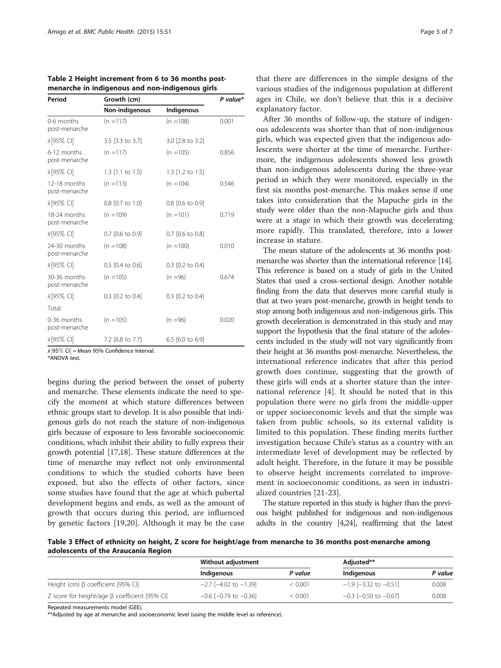| Period                        | Growth (cm)            | P value*               |       |  |
|-------------------------------|------------------------|------------------------|-------|--|
|                               | Non-indigenous         | Indigenous             |       |  |
| 0-6 months<br>post-menarche   | $(n = 117)$            | $(n = 108)$            | 0.001 |  |
| <i>x</i> [95% CI]             | 3.5 [3.3 to 3.7]       | 3.0 [2.8 to 3.2]       |       |  |
| 6-12 months<br>post-menarche  | $(n = 117)$            | $(n = 105)$            | 0.856 |  |
| <i>x</i> [95% CI]             | 1.3 [1.1 to 1.5]       | 1.3 [1.2 to 1.5]       |       |  |
| 12-18 months<br>post-menarche | $(n = 113)$            | $(n = 104)$            | 0.546 |  |
| <i>x</i> [95% CI]             | 0.8 [0.7 to 1.0]       | 0.8 [0.6 to 0.9]       |       |  |
| 18-24 months<br>post-menarche | $(n = 109)$            | $(n = 101)$            | 0.719 |  |
| <i>x</i> [95% CI]             | 0.7 [0.6 to 0.9]       | $0.7$ [0.6 to 0.8]     |       |  |
| 24-30 months<br>post-menarche | $(n = 108)$            | $(n = 100)$            | 0.010 |  |
| <i>x</i> [95% CI]             | $0.5$ [0.4 to 0.6]     | 0.3 [0.2 to 0.4]       |       |  |
| 30-36 months<br>post-menarche | $(n = 105)$            | $(n = 96)$             | 0.674 |  |
| <i>x</i> [95% CI]             | $0.3$ $[0.2$ to $0.4]$ | $0.3$ $[0.2$ to $0.4]$ |       |  |
| Total:                        |                        |                        |       |  |
| 0-36 months<br>post-menarche  | $(n = 105)$            | $(n = 96)$             | 0.020 |  |
| <i>x</i> [95% CI]             | 7.2 [6.8 to 7.7]       | 6.5 [6.0 to 6.9]       |       |  |

<span id="page-4-0"></span>Table 2 Height increment from 6 to 36 months postmenarche in indigenous and non-indigenous girls

 $\bar{x}$  [95% CI] = Mean 95% Confidence Interval.

\*ANOVA test.

begins during the period between the onset of puberty and menarche. These elements indicate the need to specify the moment at which stature differences between ethnic groups start to develop. It is also possible that indigenous girls do not reach the stature of non-indigenous girls because of exposure to less favorable socioeconomic conditions, which inhibit their ability to fully express their growth potential [[17](#page-6-0),[18](#page-6-0)]. These stature differences at the time of menarche may reflect not only environmental conditions to which the studied cohorts have been exposed, but also the effects of other factors, since some studies have found that the age at which pubertal development begins and ends, as well as the amount of growth that occurs during this period, are influenced by genetic factors [\[19](#page-6-0),[20\]](#page-6-0). Although it may be the case

that there are differences in the simple designs of the various studies of the indigenous population at different ages in Chile, we don't believe that this is a decisive explanatory factor.

After 36 months of follow-up, the stature of indigenous adolescents was shorter than that of non-indigenous girls, which was expected given that the indigenous adolescents were shorter at the time of menarche. Furthermore, the indigenous adolescents showed less growth than non-indigenous adolescents during the three-year period in which they were monitored, especially in the first six months post-menarche. This makes sense if one takes into consideration that the Mapuche girls in the study were older than the non-Mapuche girls and thus were at a stage in which their growth was decelerating more rapidly. This translated, therefore, into a lower increase in stature.

The mean stature of the adolescents at 36 months postmenarche was shorter than the international reference [\[14](#page-6-0)]. This reference is based on a study of girls in the United States that used a cross-sectional design. Another notable finding from the data that deserves more careful study is that at two years post-menarche, growth in height tends to stop among both indigenous and non-indigenous girls. This growth deceleration is demonstrated in this study and may support the hypothesis that the final stature of the adolescents included in the study will not vary significantly from their height at 36 months post-menarche. Nevertheless, the international reference indicates that after this period growth does continue, suggesting that the growth of these girls will ends at a shorter stature than the international reference [[4](#page-5-0)]. It should be noted that in this population there were no girls from the middle-upper or upper socioeconomic levels and that the simple was taken from public schools, so its external validity is limited to this population. These finding merits further investigation because Chile's status as a country with an intermediate level of development may be reflected by adult height. Therefore, in the future it may be possible to observe height increments correlated to improvement in socioeconomic conditions, as seen in industrialized countries [\[21-23](#page-6-0)].

The stature reported in this study is higher than the previous height published for indigenous and non-indigenous adults in the country [\[4,](#page-5-0)[24\]](#page-6-0), reaffirming that the latest

Table 3 Effect of ethnicity on height, Z score for height/age from menarche to 36 months post-menarche among adolescents of the Araucanía Region

|                                                     | Without adjustment            |         | Adjusted**                    |         |
|-----------------------------------------------------|-------------------------------|---------|-------------------------------|---------|
|                                                     | Indigenous                    | P value | Indigenous                    | P value |
| Height (cm) $\beta$ coefficient [95% CI]            | $-2.7$ [ $-4.02$ to $-1.39$ ] | < 0.001 | $-1.9$ [ $-3.32$ to $-0.51$ ] | 0.008   |
| Z score for height/age $\beta$ coefficient [95% CI] | $-0.6$ $[-0.79$ to $-0.36]$   | < 0.001 | $-0.3$ $[-0.50$ to $-0.07]$   | 0.008   |

Repeated measurements model (GEE).

\*\*Adjusted by age at menarche and socioeconomic level (using the middle level as reference).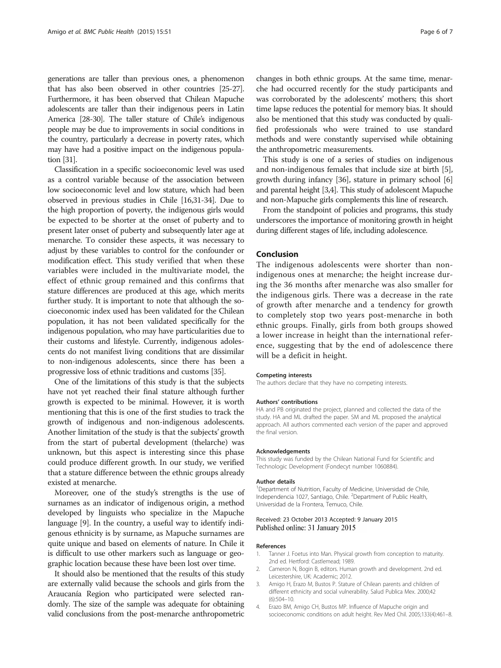<span id="page-5-0"></span>generations are taller than previous ones, a phenomenon that has also been observed in other countries [[25-27](#page-6-0)]. Furthermore, it has been observed that Chilean Mapuche adolescents are taller than their indigenous peers in Latin America [[28-30\]](#page-6-0). The taller stature of Chile's indigenous people may be due to improvements in social conditions in the country, particularly a decrease in poverty rates, which may have had a positive impact on the indigenous population [\[31\]](#page-6-0).

Classification in a specific socioeconomic level was used as a control variable because of the association between low socioeconomic level and low stature, which had been observed in previous studies in Chile [\[16,31](#page-6-0)-[34](#page-6-0)]. Due to the high proportion of poverty, the indigenous girls would be expected to be shorter at the onset of puberty and to present later onset of puberty and subsequently later age at menarche. To consider these aspects, it was necessary to adjust by these variables to control for the confounder or modification effect. This study verified that when these variables were included in the multivariate model, the effect of ethnic group remained and this confirms that stature differences are produced at this age, which merits further study. It is important to note that although the socioeconomic index used has been validated for the Chilean population, it has not been validated specifically for the indigenous population, who may have particularities due to their customs and lifestyle. Currently, indigenous adolescents do not manifest living conditions that are dissimilar to non-indigenous adolescents, since there has been a progressive loss of ethnic traditions and customs [\[35](#page-6-0)].

One of the limitations of this study is that the subjects have not yet reached their final stature although further growth is expected to be minimal. However, it is worth mentioning that this is one of the first studies to track the growth of indigenous and non-indigenous adolescents. Another limitation of the study is that the subjects' growth from the start of pubertal development (thelarche) was unknown, but this aspect is interesting since this phase could produce different growth. In our study, we verified that a stature difference between the ethnic groups already existed at menarche.

Moreover, one of the study's strengths is the use of surnames as an indicator of indigenous origin, a method developed by linguists who specialize in the Mapuche language [\[9](#page-6-0)]. In the country, a useful way to identify indigenous ethnicity is by surname, as Mapuche surnames are quite unique and based on elements of nature. In Chile it is difficult to use other markers such as language or geographic location because these have been lost over time.

It should also be mentioned that the results of this study are externally valid because the schools and girls from the Araucanía Region who participated were selected randomly. The size of the sample was adequate for obtaining valid conclusions from the post-menarche anthropometric changes in both ethnic groups. At the same time, menarche had occurred recently for the study participants and was corroborated by the adolescents' mothers; this short time lapse reduces the potential for memory bias. It should also be mentioned that this study was conducted by qualified professionals who were trained to use standard methods and were constantly supervised while obtaining the anthropometric measurements.

This study is one of a series of studies on indigenous and non-indigenous females that include size at birth [[5](#page-6-0)], growth during infancy [\[36\]](#page-6-0), stature in primary school [[6](#page-6-0)] and parental height [3,4]. This study of adolescent Mapuche and non-Mapuche girls complements this line of research.

From the standpoint of policies and programs, this study underscores the importance of monitoring growth in height during different stages of life, including adolescence.

### Conclusion

The indigenous adolescents were shorter than nonindigenous ones at menarche; the height increase during the 36 months after menarche was also smaller for the indigenous girls. There was a decrease in the rate of growth after menarche and a tendency for growth to completely stop two years post-menarche in both ethnic groups. Finally, girls from both groups showed a lower increase in height than the international reference, suggesting that by the end of adolescence there will be a deficit in height.

#### Competing interests

The authors declare that they have no competing interests.

#### Authors' contributions

HA and PB originated the project, planned and collected the data of the study. HA and ML drafted the paper. SM and ML proposed the analytical approach. All authors commented each version of the paper and approved the final version.

#### Acknowledgements

This study was funded by the Chilean National Fund for Scientific and Technologic Development (Fondecyt number 1060884).

#### Author details

<sup>1</sup>Department of Nutrition, Faculty of Medicine, Universidad de Chile, Independencia 1027, Santiago, Chile. <sup>2</sup>Department of Public Health Universidad de la Frontera, Temuco, Chile.

#### Received: 23 October 2013 Accepted: 9 January 2015 Published online: 31 January 2015

#### References

- 1. Tanner J. Foetus into Man. Physical growth from conception to maturity. 2nd ed. Hertford: Castlemead; 1989.
- 2. Cameron N, Bogin B, editors. Human growth and development. 2nd ed. Leicestershire, UK: Academic; 2012.
- 3. Amigo H, Erazo M, Bustos P. Stature of Chilean parents and children of different ethnicity and social vulnerability. Salud Publica Mex. 2000;42 (6):504–10.
- 4. Erazo BM, Amigo CH, Bustos MP. Influence of Mapuche origin and socioeconomic conditions on adult height. Rev Med Chil. 2005;133(4):461–8.